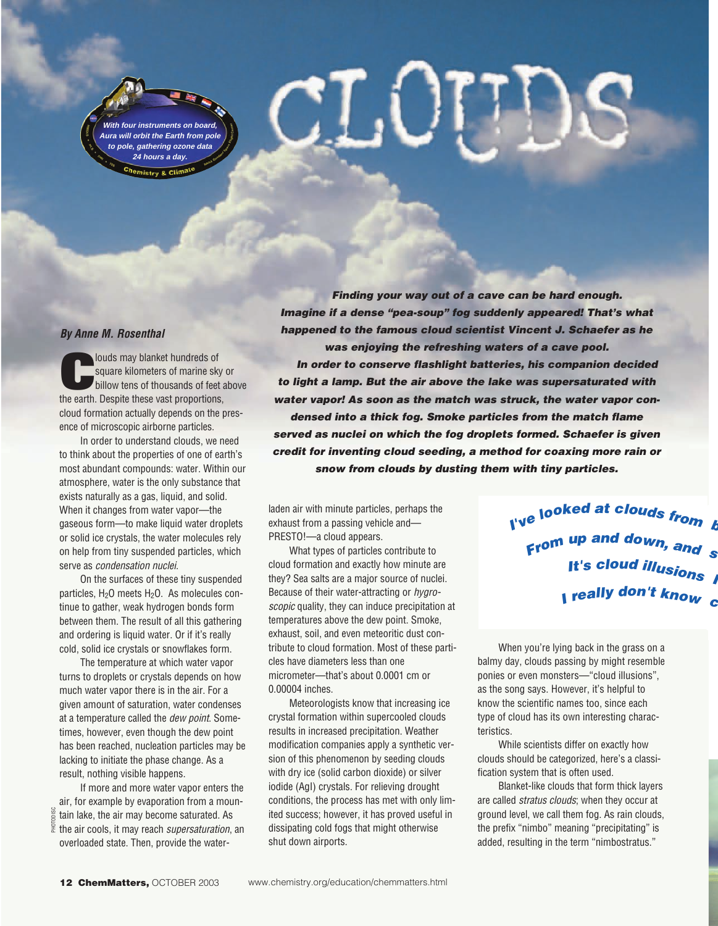**With four instruments on board, Aura will orbit the Earth from pole to pole, gathering ozone data 24 hours a day.**

#### **By Anne M. Rosenthal**

**Colouds may blanket hundreds of<br>
square kilometers of marine sky or<br>
billow tens of thousands of feet above<br>
the earth Despite these vast proportions** square kilometers of marine sky or the earth. Despite these vast proportions, cloud formation actually depends on the presence of microscopic airborne particles.

In order to understand clouds, we need to think about the properties of one of earth's most abundant compounds: water. Within our atmosphere, water is the only substance that exists naturally as a gas, liquid, and solid. When it changes from water vapor—the gaseous form—to make liquid water droplets or solid ice crystals, the water molecules rely on help from tiny suspended particles, which serve as condensation nuclei.

On the surfaces of these tiny suspended particles, H<sub>2</sub>O meets H<sub>2</sub>O. As molecules continue to gather, weak hydrogen bonds form between them. The result of all this gathering and ordering is liquid water. Or if it's really cold, solid ice crystals or snowflakes form.

The temperature at which water vapor turns to droplets or crystals depends on how much water vapor there is in the air. For a given amount of saturation, water condenses at a temperature called the dew point. Sometimes, however, even though the dew point has been reached, nucleation particles may be lacking to initiate the phase change. As a result, nothing visible happens.

If more and more water vapor enters the air, for example by evaporation from a moun- $\frac{8}{6}$  tain lake, the air may become saturated. As  $\frac{2}{3}$  the air cools, it may reach supersaturation, an overloaded state. Then, provide the water-PHOTODISC

**Finding your way out of a cave can be hard enough. Imagine if a dense "pea-soup" fog suddenly appeared! That's what happened to the famous cloud scientist Vincent J. Schaefer as he was enjoying the refreshing waters of a cave pool. In order to conserve flashlight batteries, his companion decided to light a lamp. But the air above the lake was supersaturated with water vapor! As soon as the match was struck, the water vapor condensed into a thick fog. Smoke particles from the match flame served as nuclei on which the fog droplets formed. Schaefer is given credit for inventing cloud seeding, a method for coaxing more rain or snow from clouds by dusting them with tiny particles.**

laden air with minute particles, perhaps the exhaust from a passing vehicle and— PRESTO!—a cloud appears.

 $\mathbb{T} . \mathbb{C}$ 

What types of particles contribute to cloud formation and exactly how minute are they? Sea salts are a major source of nuclei. Because of their water-attracting or hygroscopic quality, they can induce precipitation at temperatures above the dew point. Smoke, exhaust, soil, and even meteoritic dust contribute to cloud formation. Most of these particles have diameters less than one micrometer—that's about 0.0001 cm or 0.00004 inches.

Meteorologists know that increasing ice crystal formation within supercooled clouds results in increased precipitation. Weather modification companies apply a synthetic version of this phenomenon by seeding clouds with dry ice (solid carbon dioxide) or silver iodide (AgI) crystals. For relieving drought conditions, the process has met with only limited success; however, it has proved useful in dissipating cold fogs that might otherwise shut down airports.

**<sup>I</sup>'v<sup>e</sup> <sup>l</sup>ooke<sup>d</sup> <sup>a</sup><sup>t</sup> <sup>c</sup>loud<sup>s</sup> <sup>f</sup>ro<sup>m</sup> <sup>b</sup> <sup>F</sup>ro<sup>m</sup> <sup>u</sup><sup>p</sup> <sup>a</sup>n<sup>d</sup> <sup>d</sup>own, <sup>a</sup>n<sup>d</sup> <sup>s</sup><sup>t</sup> I <sup>r</sup>eall<sup>y</sup> <sup>d</sup>on'<sup>t</sup> <sup>k</sup>no<sup>w</sup> <sup>c</sup> <sup>I</sup>t'<sup>s</sup> <sup>c</sup>lou<sup>d</sup> <sup>i</sup>llusion<sup>s</sup> <sup>I</sup>**

When you're lying back in the grass on a balmy day, clouds passing by might resemble ponies or even monsters—"cloud illusions", as the song says. However, it's helpful to know the scientific names too, since each type of cloud has its own interesting characteristics.

While scientists differ on exactly how clouds should be categorized, here's a classification system that is often used.

Blanket-like clouds that form thick layers are called *stratus clouds*; when they occur at ground level, we call them fog. As rain clouds, the prefix "nimbo" meaning "precipitating" is added, resulting in the term "nimbostratus."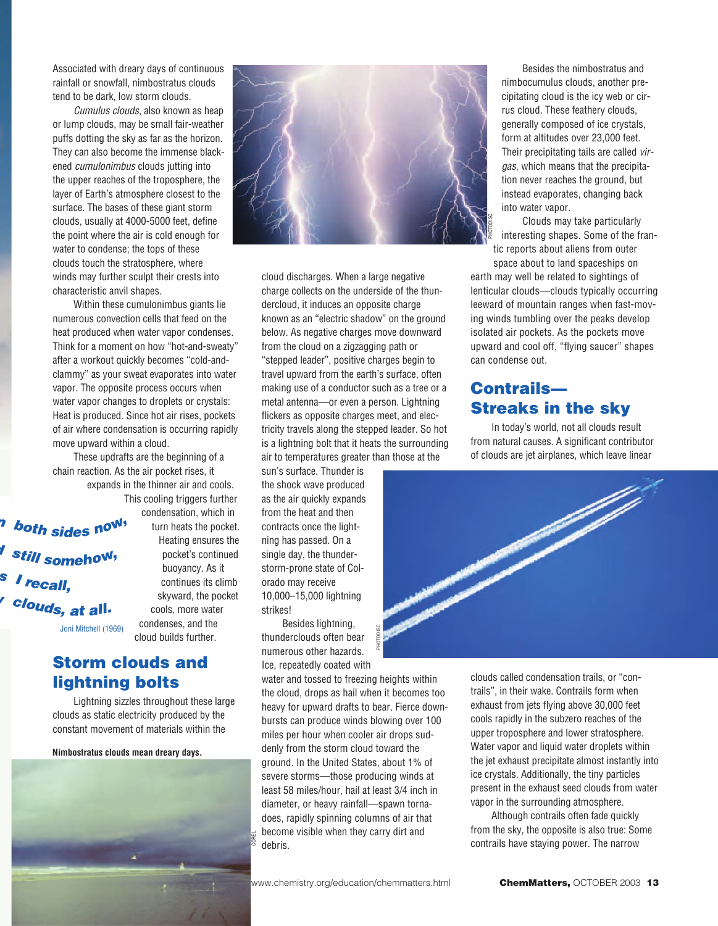Associated with dreary days of continuous rainfall or snowfall, nimbostratus clouds tend to be dark, low storm clouds.

Cumulus clouds, also known as heap or lump clouds, may be small fair-weather puffs dotting the sky as far as the horizon. They can also become the immense blackened cumulonimbus clouds jutting into the upper reaches of the troposphere, the layer of Earth's atmosphere closest to the surface. The bases of these giant storm clouds, usually at 4000-5000 feet, define the point where the air is cold enough for water to condense; the tops of these clouds touch the stratosphere, where winds may further sculpt their crests into characteristic anvil shapes.

Within these cumulonimbus giants lie numerous convection cells that feed on the heat produced when water vapor condenses. Think for a moment on how "hot-and-sweaty" after a workout quickly becomes "cold-andclammy" as your sweat evaporates into water vapor. The opposite process occurs when water vapor changes to droplets or crystals: Heat is produced. Since hot air rises, pockets of air where condensation is occurring rapidly move upward within a cloud.

These updrafts are the beginning of a chain reaction. As the air pocket rises, it expands in the thinner air and cools.

**<sup>m</sup> <sup>b</sup>ot<sup>h</sup> <sup>s</sup>ide<sup>s</sup> <sup>n</sup>ow, <sup>d</sup> <sup>s</sup>til<sup>l</sup> <sup>s</sup>omehow, <sup>w</sup> <sup>c</sup>louds, <sup>a</sup><sup>t</sup> <sup>a</sup>ll. <sup>s</sup> <sup>I</sup> <sup>r</sup>ecall,** Joni Mitchell (1969)

This cooling triggers further condensation, which in turn heats the pocket. Heating ensures the pocket's continued buoyancy. As it continues its climb skyward, the pocket cools, more water condenses, and the cloud builds further.

# **Storm clouds and lightning bolts**

Lightning sizzles throughout these large clouds as static electricity produced by the constant movement of materials within the

**Nimbostratus clouds mean dreary days.**





cloud discharges. When a large negative charge collects on the underside of the thundercloud, it induces an opposite charge known as an "electric shadow" on the ground below. As negative charges move downward from the cloud on a zigzagging path or "stepped leader", positive charges begin to travel upward from the earth's surface, often making use of a conductor such as a tree or a metal antenna—or even a person. Lightning flickers as opposite charges meet, and electricity travels along the stepped leader. So hot is a lightning bolt that it heats the surrounding air to temperatures greater than those at the

sun's surface. Thunder is the shock wave produced as the air quickly expands from the heat and then contracts once the lightning has passed. On a single day, the thunderstorm-prone state of Colorado may receive 10,000–15,000 lightning strikes!

Besides lightning, thunderclouds often bear numerous other hazards. Ice, repeatedly coated with

water and tossed to freezing heights within the cloud, drops as hail when it becomes too heavy for upward drafts to bear. Fierce downbursts can produce winds blowing over 100 miles per hour when cooler air drops suddenly from the storm cloud toward the ground. In the United States, about 1% of severe storms—those producing winds at least 58 miles/hour, hail at least 3/4 inch in diameter, or heavy rainfall—spawn tornadoes, rapidly spinning columns of air that become visible when they carry dirt and debris. busides infiniting,<br>thunderclouds often bear<br>numerous other hazards.<br>Ice, repeatedly coated with<br>water and tossed to freezing heights within<br>the cloud, drops as hail when it becomes too<br>heavy for upward drafts to bear. Fie

Besides the nimbostratus and nimbocumulus clouds, another precipitating cloud is the icy web or cirrus cloud. These feathery clouds, generally composed of ice crystals, form at altitudes over 23,000 feet. Their precipitating tails are called virgas, which means that the precipitation never reaches the ground, but instead evaporates, changing back into water vapor.

Clouds may take particularly interesting shapes. Some of the frantic reports about aliens from outer

space about to land spaceships on earth may well be related to sightings of lenticular clouds—clouds typically occurring leeward of mountain ranges when fast-moving winds tumbling over the peaks develop isolated air pockets. As the pockets move upward and cool off, "flying saucer" shapes can condense out.

# **Contrails— Streaks in the sky**

In today's world, not all clouds result from natural causes. A significant contributor of clouds are jet airplanes, which leave linear



clouds called condensation trails, or "contrails", in their wake. Contrails form when exhaust from jets flying above 30,000 feet cools rapidly in the subzero reaches of the upper troposphere and lower stratosphere. Water vapor and liquid water droplets within the jet exhaust precipitate almost instantly into ice crystals. Additionally, the tiny particles present in the exhaust seed clouds from water vapor in the surrounding atmosphere.

Although contrails often fade quickly from the sky, the opposite is also true: Some contrails have staying power. The narrow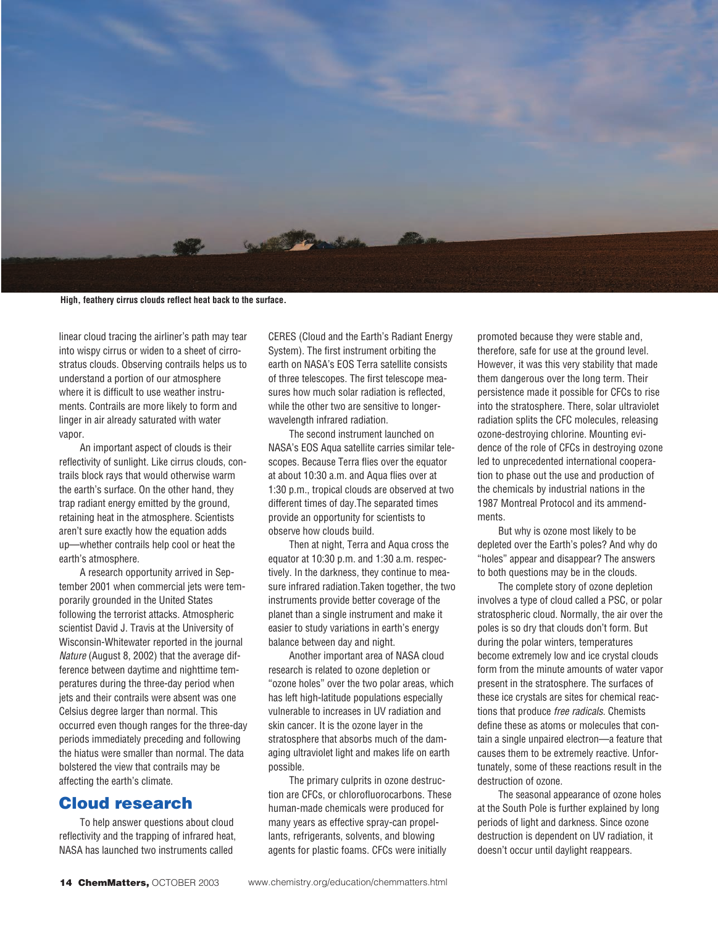

**High, feathery cirrus clouds reflect heat back to the surface.**

linear cloud tracing the airliner's path may tear into wispy cirrus or widen to a sheet of cirrostratus clouds. Observing contrails helps us to understand a portion of our atmosphere where it is difficult to use weather instruments. Contrails are more likely to form and linger in air already saturated with water vapor.

An important aspect of clouds is their reflectivity of sunlight. Like cirrus clouds, contrails block rays that would otherwise warm the earth's surface. On the other hand, they trap radiant energy emitted by the ground, retaining heat in the atmosphere. Scientists aren't sure exactly how the equation adds up—whether contrails help cool or heat the earth's atmosphere.

A research opportunity arrived in September 2001 when commercial jets were temporarily grounded in the United States following the terrorist attacks. Atmospheric scientist David J. Travis at the University of Wisconsin-Whitewater reported in the journal Nature (August 8, 2002) that the average difference between daytime and nighttime temperatures during the three-day period when jets and their contrails were absent was one Celsius degree larger than normal. This occurred even though ranges for the three-day periods immediately preceding and following the hiatus were smaller than normal. The data bolstered the view that contrails may be affecting the earth's climate.

# **Cloud research**

To help answer questions about cloud reflectivity and the trapping of infrared heat, NASA has launched two instruments called

CERES (Cloud and the Earth's Radiant Energy System). The first instrument orbiting the earth on NASA's EOS Terra satellite consists of three telescopes. The first telescope measures how much solar radiation is reflected, while the other two are sensitive to longerwavelength infrared radiation.

The second instrument launched on NASA's EOS Aqua satellite carries similar telescopes. Because Terra flies over the equator at about 10:30 a.m. and Aqua flies over at 1:30 p.m., tropical clouds are observed at two different times of day.The separated times provide an opportunity for scientists to observe how clouds build.

Then at night, Terra and Aqua cross the equator at 10:30 p.m. and 1:30 a.m. respectively. In the darkness, they continue to measure infrared radiation.Taken together, the two instruments provide better coverage of the planet than a single instrument and make it easier to study variations in earth's energy balance between day and night.

Another important area of NASA cloud research is related to ozone depletion or "ozone holes" over the two polar areas, which has left high-latitude populations especially vulnerable to increases in UV radiation and skin cancer. It is the ozone layer in the stratosphere that absorbs much of the damaging ultraviolet light and makes life on earth possible.

The primary culprits in ozone destruction are CFCs, or chlorofluorocarbons. These human-made chemicals were produced for many years as effective spray-can propellants, refrigerants, solvents, and blowing agents for plastic foams. CFCs were initially

promoted because they were stable and, therefore, safe for use at the ground level. However, it was this very stability that made them dangerous over the long term. Their persistence made it possible for CFCs to rise into the stratosphere. There, solar ultraviolet radiation splits the CFC molecules, releasing ozone-destroying chlorine. Mounting evidence of the role of CFCs in destroying ozone led to unprecedented international cooperation to phase out the use and production of the chemicals by industrial nations in the 1987 Montreal Protocol and its ammendments.

But why is ozone most likely to be depleted over the Earth's poles? And why do "holes" appear and disappear? The answers to both questions may be in the clouds.

The complete story of ozone depletion involves a type of cloud called a PSC, or polar stratospheric cloud. Normally, the air over the poles is so dry that clouds don't form. But during the polar winters, temperatures become extremely low and ice crystal clouds form from the minute amounts of water vapor present in the stratosphere. The surfaces of these ice crystals are sites for chemical reactions that produce free radicals. Chemists define these as atoms or molecules that contain a single unpaired electron—a feature that causes them to be extremely reactive. Unfortunately, some of these reactions result in the destruction of ozone.

The seasonal appearance of ozone holes at the South Pole is further explained by long periods of light and darkness. Since ozone destruction is dependent on UV radiation, it doesn't occur until daylight reappears.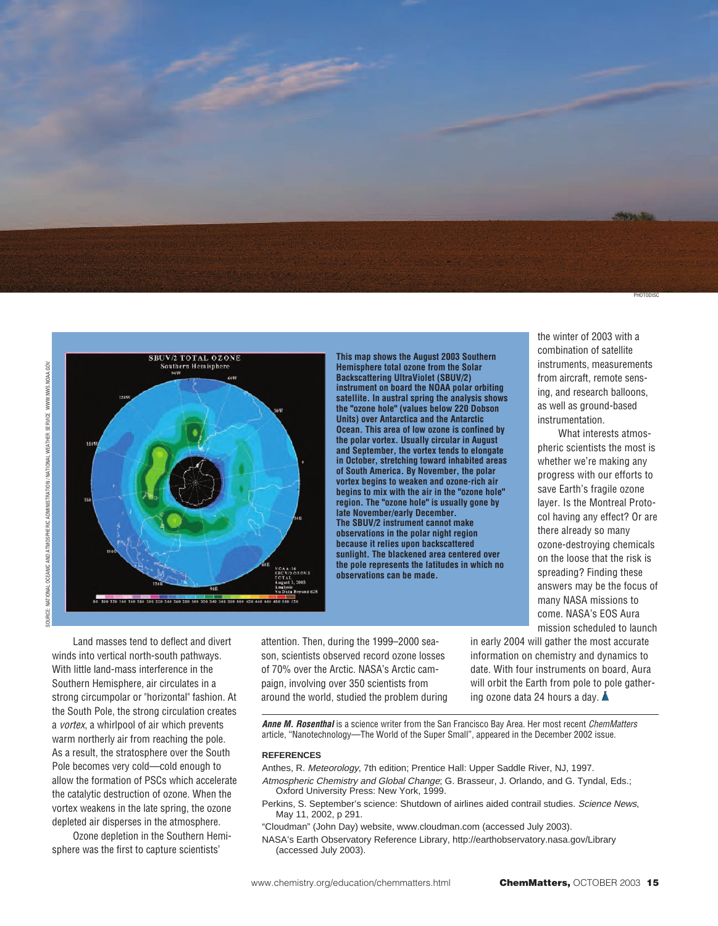



**This map shows the August 2003 Southern Hemisphere total ozone from the Solar Backscattering UltraViolet (SBUV/2) instrument on board the NOAA polar orbiting satellite. In austral spring the analysis shows the "ozone hole" (values below 220 Dobson Units) over Antarctica and the Antarctic Ocean. This area of low ozone is confined by the polar vortex. Usually circular in August and September, the vortex tends to elongate in October, stretching toward inhabited areas of South America. By November, the polar vortex begins to weaken and ozone-rich air begins to mix with the air in the "ozone hole" region. The "ozone hole" is usually gone by late November/early December. The SBUV/2 instrument cannot make observations in the polar night region because it relies upon backscattered sunlight. The blackened area centered over the pole represents the latitudes in which no observations can be made.**

the winter of 2003 with a combination of satellite instruments, measurements from aircraft, remote sensing, and research balloons, as well as ground-based instrumentation.

What interests atmospheric scientists the most is whether we're making any progress with our efforts to save Earth's fragile ozone layer. Is the Montreal Protocol having any effect? Or are there already so many ozone-destroying chemicals on the loose that the risk is spreading? Finding these answers may be the focus of many NASA missions to come. NASA's EOS Aura mission scheduled to launch

Land masses tend to deflect and divert winds into vertical north-south pathways. With little land-mass interference in the Southern Hemisphere, air circulates in a strong circumpolar or "horizontal" fashion. At the South Pole, the strong circulation creates a vortex, a whirlpool of air which prevents warm northerly air from reaching the pole. As a result, the stratosphere over the South Pole becomes very cold—cold enough to allow the formation of PSCs which accelerate the catalytic destruction of ozone. When the vortex weakens in the late spring, the ozone depleted air disperses in the atmosphere.

Ozone depletion in the Southern Hemisphere was the first to capture scientists'

attention. Then, during the 1999–2000 season, scientists observed record ozone losses of 70% over the Arctic. NASA's Arctic campaign, involving over 350 scientists from around the world, studied the problem during in early 2004 will gather the most accurate information on chemistry and dynamics to date. With four instruments on board, Aura will orbit the Earth from pole to pole gathering ozone data 24 hours a day.

**Anne M. Rosenthal** is a science writer from the San Francisco Bay Area. Her most recent ChemMatters article, "Nanotechnology—The World of the Super Small", appeared in the December 2002 issue.

#### **REFERENCES**

- Anthes, R. Meteorology, 7th edition; Prentice Hall: Upper Saddle River, NJ, 1997. Atmospheric Chemistry and Global Change; G. Brasseur, J. Orlando, and G. Tyndal, Eds.; Oxford University Press: New York, 1999.
- Perkins, S. September's science: Shutdown of airlines aided contrail studies. Science News, May 11, 2002, p 291.
- "Cloudman" (John Day) website, www.cloudman.com (accessed July 2003).
- NASA's Earth Observatory Reference Library, http://earthobservatory.nasa.gov/Library (accessed July 2003).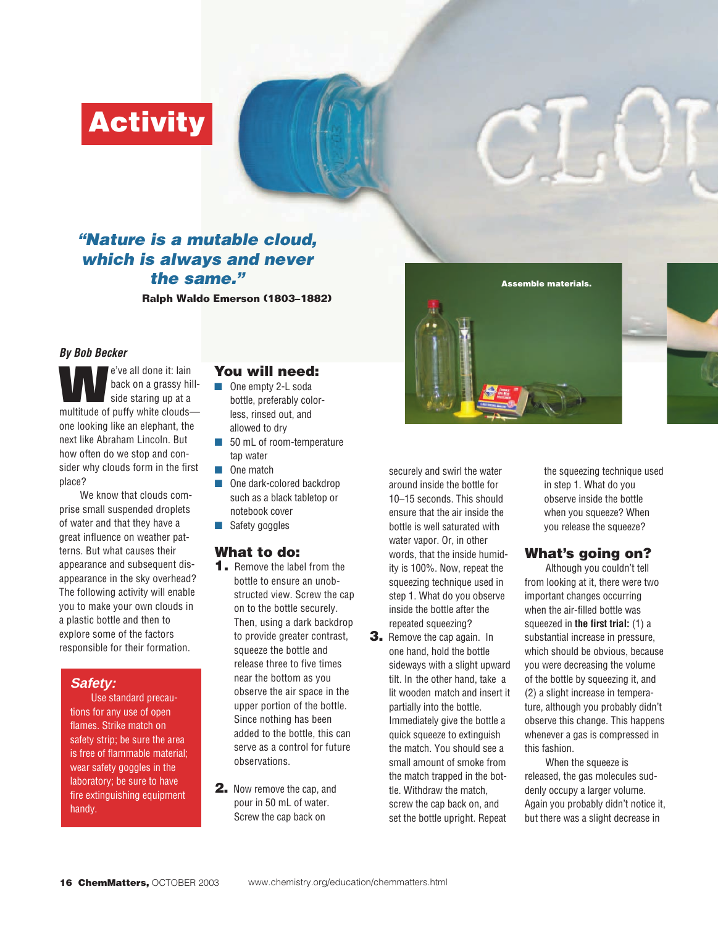**Activity**

# **"Nature is a mutable cloud, which is always and never the same."**

**Ralph Waldo Emerson (1803–1882)**

#### **By Bob Becker**

**We've all done it: lain**<br>back on a grassy hill-<br>side staring up at a<br>multitude of puffy white clouds back on a grassy hillside staring up at a one looking like an elephant, the next like Abraham Lincoln. But how often do we stop and consider why clouds form in the first place?

We know that clouds comprise small suspended droplets of water and that they have a great influence on weather patterns. But what causes their appearance and subsequent disappearance in the sky overhead? The following activity will enable you to make your own clouds in a plastic bottle and then to explore some of the factors responsible for their formation.

#### **Safety:**

Use standard precautions for any use of open flames. Strike match on safety strip; be sure the area is free of flammable material; wear safety goggles in the laboratory; be sure to have fire extinguishing equipment handy.

## **You will need:**

- One empty 2-L soda bottle, preferably colorless, rinsed out, and allowed to dry
- 50 mL of room-temperature tap water
- One match
- One dark-colored backdrop such as a black tabletop or notebook cover
- Safety goggles

## **What to do:**

- **1.** Remove the label from the bottle to ensure an unobstructed view. Screw the cap on to the bottle securely. Then, using a dark backdrop to provide greater contrast, squeeze the bottle and release three to five times near the bottom as you observe the air space in the upper portion of the bottle. Since nothing has been added to the bottle, this can serve as a control for future observations.
- **2.** Now remove the cap, and pour in 50 mL of water. Screw the cap back on

securely and swirl the water around inside the bottle for 10–15 seconds. This should ensure that the air inside the bottle is well saturated with water vapor. Or, in other words, that the inside humidity is 100%. Now, repeat the squeezing technique used in step 1. What do you observe inside the bottle after the repeated squeezing?

**3.** Remove the cap again. In one hand, hold the bottle sideways with a slight upward tilt. In the other hand, take a lit wooden match and insert it partially into the bottle. Immediately give the bottle a quick squeeze to extinguish the match. You should see a small amount of smoke from the match trapped in the bottle. Withdraw the match, screw the cap back on, and set the bottle upright. Repeat





the squeezing technique used in step 1. What do you observe inside the bottle when you squeeze? When you release the squeeze?

## **What's going on?**

Although you couldn't tell from looking at it, there were two important changes occurring when the air-filled bottle was squeezed in **the first trial:** (1) a substantial increase in pressure, which should be obvious, because you were decreasing the volume of the bottle by squeezing it, and (2) a slight increase in temperature, although you probably didn't observe this change. This happens whenever a gas is compressed in this fashion.

When the squeeze is released, the gas molecules suddenly occupy a larger volume. Again you probably didn't notice it, but there was a slight decrease in